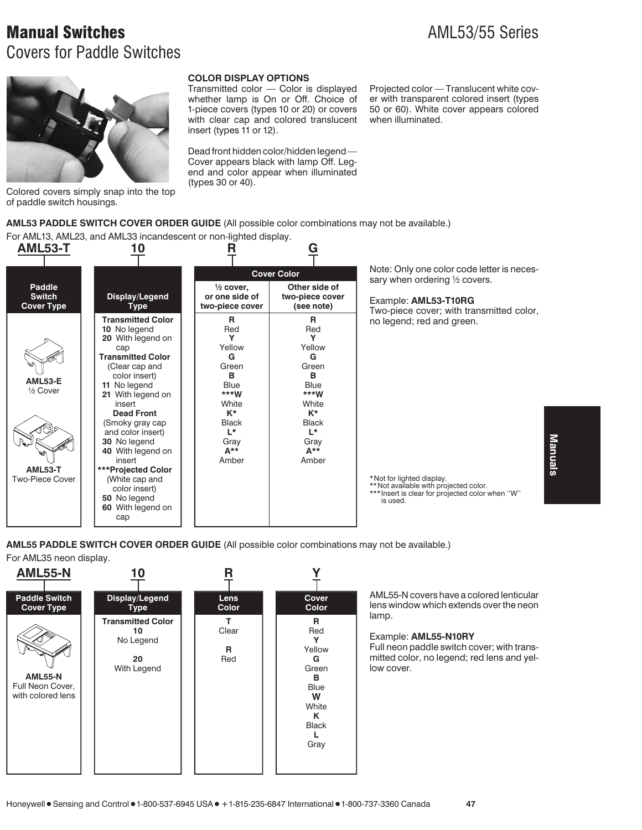## **Manual Switches** AML53/55 Series Covers for Paddle Switches



Colored covers simply snap into the top of paddle switch housings.

### **COLOR DISPLAY OPTIONS**

Transmitted color — Color is displayed whether lamp is On or Off. Choice of 1-piece covers (types 10 or 20) or covers with clear cap and colored translucent insert (types 11 or 12).

Dead front hidden color/hidden legend — Cover appears black with lamp Off. Legend and color appear when illuminated (types 30 or 40).

Projected color — Translucent white cover with transparent colored insert (types 50 or 60). White cover appears colored when illuminated.

**AML53 PADDLE SWITCH COVER ORDER GUIDE** (All possible color combinations may not be available.)

For AML13, AML23, and AML33 incandescent or non-lighted display.



Note: Only one color code letter is necessary when ordering 1/2 covers.

Example: **AML53-T10RG**

Two-piece cover; with transmitted color, no legend; red and green.

\*Not for lighted display.

\*\*Not available with projected color. \*\*\* Insert is clear for projected color when "W" is used.

**AML55 PADDLE SWITCH COVER ORDER GUIDE** (All possible color combinations may not be available.)

For AML35 neon display.



AML55-N covers have a colored lenticular lens window which extends over the neon lamp.

### Example: **AML55-N10RY**

Full neon paddle switch cover; with transmitted color, no legend; red lens and yellow cover.

Manuals **Manuals**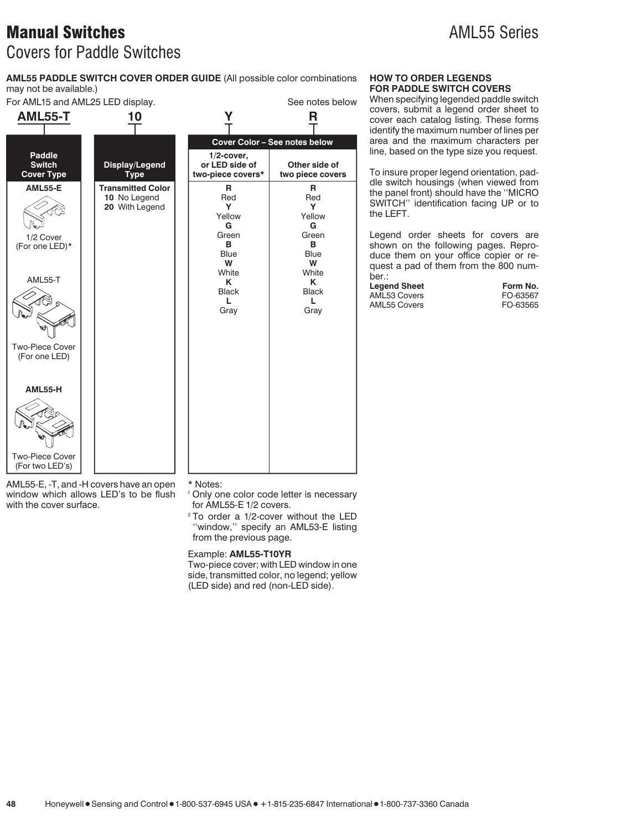## **Manual Switches** AML55 Series Covers for Paddle Switches

**AML55 PADDLE SWITCH COVER ORDER GUIDE** (All possible color combinations may not be available.)

For AML15 and AML25 LED display. The state of the See notes below

| 10                                                         |                                                                                                           | R                                                                                                         |
|------------------------------------------------------------|-----------------------------------------------------------------------------------------------------------|-----------------------------------------------------------------------------------------------------------|
|                                                            |                                                                                                           | Cover Color - See notes below                                                                             |
| Display/Legend<br><b>Type</b>                              | $1/2$ -cover,<br>or LED side of<br>two-piece covers*                                                      | Other side of<br>two piece covers                                                                         |
| <b>Transmitted Color</b><br>10 No Legend<br>20 With Legend | R<br>Red<br>Y<br>Yellow<br>G<br>Green<br>в<br><b>Blue</b><br>W<br>White<br>K<br><b>Black</b><br>L<br>Gray | R<br>Red<br>Y<br>Yellow<br>G<br>Green<br>в<br><b>Blue</b><br>W<br>White<br>K<br><b>Black</b><br>L<br>Gray |
|                                                            |                                                                                                           |                                                                                                           |
|                                                            | AML55-E, -T, and -H covers have an open                                                                   | * Notes:                                                                                                  |

window which allows LED's to be flush with the cover surface.

- <sup>1</sup> Only one color code letter is necessary for AML55-E 1/2 covers.
- <sup>2</sup> To order a 1/2-cover without the LED ''window,'' specify an AML53-E listing from the previous page.

#### Example: **AML55-T10YR**

Two-piece cover; with LED window in one side, transmitted color, no legend; yellow (LED side) and red (non-LED side).

## **HOW TO ORDER LEGENDS FOR PADDLE SWITCH COVERS**

When specifying legended paddle switch covers, submit a legend order sheet to cover each catalog listing. These forms identify the maximum number of lines per area and the maximum characters per line, based on the type size you request.

To insure proper legend orientation, paddle switch housings (when viewed from the panel front) should have the ''MICRO SWITCH'' identification facing UP or to the LEFT.

Legend order sheets for covers are shown on the following pages. Reproduce them on your office copier or request a pad of them from the 800 number.:

**Legend Sheet Form No.**<br>AML53 Covers FO-63567 AML53 Covers FO-63567 AML55 Covers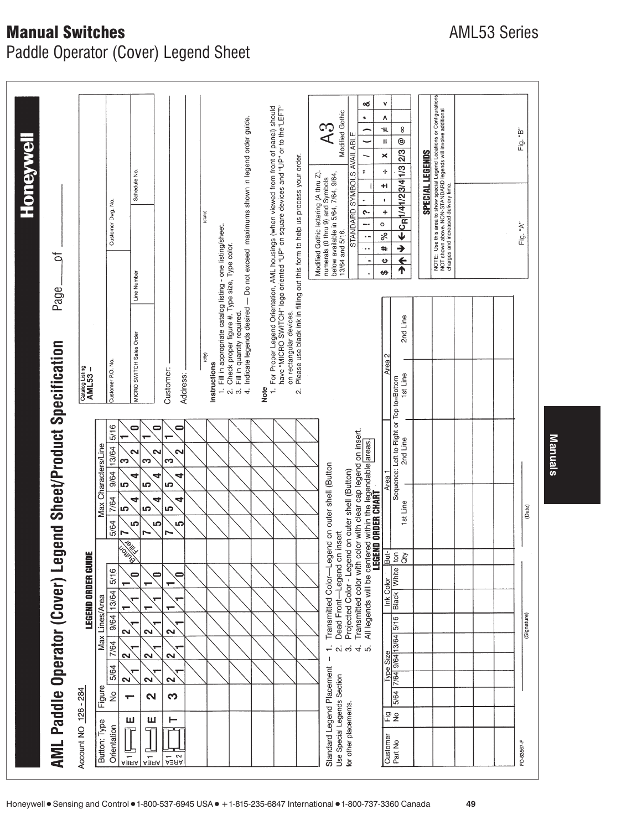# **Manual Switches** AML53 Series

Paddle Operator (Cover) Legend Sheet